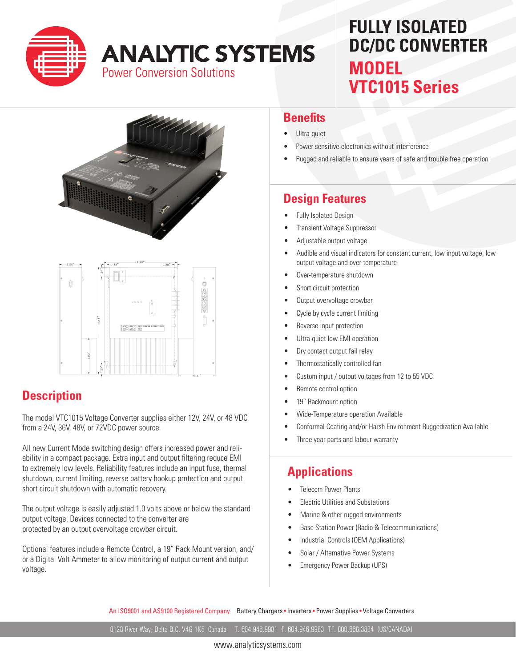

# **ANALYTIC SYSTEMS Power Conversion Solutions**

# **FULLY ISOLATED DC/DC CONVERTER MODEL VTC1015 Series**





# **Description**

The model VTC1015 Voltage Converter supplies either 12V, 24V, or 48 VDC from a 24V, 36V, 48V, or 72VDC power source.

All new Current Mode switching design offers increased power and reliability in a compact package. Extra input and output filtering reduce EMI to extremely low levels. Reliability features include an input fuse, thermal shutdown, current limiting, reverse battery hookup protection and output short circuit shutdown with automatic recovery.

The output voltage is easily adjusted 1.0 volts above or below the standard output voltage. Devices connected to the converter are protected by an output overvoltage crowbar circuit.

Optional features include a Remote Control, a 19" Rack Mount version, and/ or a Digital Volt Ammeter to allow monitoring of output current and output voltage.

#### **Benefits**

- Ultra-quiet
- Power sensitive electronics without interference
- Rugged and reliable to ensure years of safe and trouble free operation

## **Design Features**

- **Fully Isolated Design**
- Transient Voltage Suppressor
- Adjustable output voltage
- Audible and visual indicators for constant current, low input voltage, low output voltage and over-temperature
- Over-temperature shutdown
- Short circuit protection
- Output overvoltage crowbar
- Cycle by cycle current limiting
- Reverse input protection
- Ultra-quiet low EMI operation
- Dry contact output fail relay
- Thermostatically controlled fan
- Custom input / output voltages from 12 to 55 VDC
- Remote control option
- 19" Rackmount option
- Wide-Temperature operation Available
- Conformal Coating and/or Harsh Environment Ruggedization Available
- Three year parts and labour warranty

### **Applications**

- Telecom Power Plants
- Electric Utilities and Substations
- Marine & other rugged environments
- Base Station Power (Radio & Telecommunications)
- Industrial Controls (OEM Applications)
- Solar / Alternative Power Systems
- Emergency Power Backup (UPS)

An ISO9001 and AS9100 Registered Company Battery Chargers • Inverters • Power Supplies • Voltage Converters